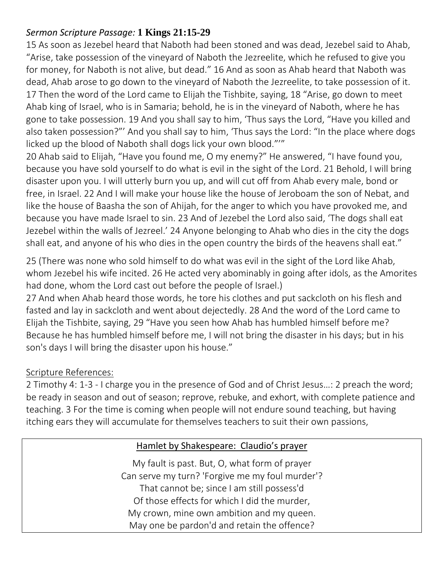## *Sermon Scripture Passage:* **1 Kings 21:15-29**

15 As soon as Jezebel heard that Naboth had been stoned and was dead, Jezebel said to Ahab, "Arise, take possession of the vineyard of Naboth the Jezreelite, which he refused to give you for money, for Naboth is not alive, but dead." 16 And as soon as Ahab heard that Naboth was dead, Ahab arose to go down to the vineyard of Naboth the Jezreelite, to take possession of it. 17 Then the word of the Lord came to Elijah the Tishbite, saying, 18 "Arise, go down to meet Ahab king of Israel, who is in Samaria; behold, he is in the vineyard of Naboth, where he has gone to take possession. 19 And you shall say to him, 'Thus says the Lord, "Have you killed and also taken possession?"' And you shall say to him, 'Thus says the Lord: "In the place where dogs licked up the blood of Naboth shall dogs lick your own blood."'"

20 Ahab said to Elijah, "Have you found me, O my enemy?" He answered, "I have found you, because you have sold yourself to do what is evil in the sight of the Lord. 21 Behold, I will bring disaster upon you. I will utterly burn you up, and will cut off from Ahab every male, bond or free, in Israel. 22 And I will make your house like the house of Jeroboam the son of Nebat, and like the house of Baasha the son of Ahijah, for the anger to which you have provoked me, and because you have made Israel to sin. 23 And of Jezebel the Lord also said, 'The dogs shall eat Jezebel within the walls of Jezreel.' 24 Anyone belonging to Ahab who dies in the city the dogs shall eat, and anyone of his who dies in the open country the birds of the heavens shall eat."

25 (There was none who sold himself to do what was evil in the sight of the Lord like Ahab, whom Jezebel his wife incited. 26 He acted very abominably in going after idols, as the Amorites had done, whom the Lord cast out before the people of Israel.)

27 And when Ahab heard those words, he tore his clothes and put sackcloth on his flesh and fasted and lay in sackcloth and went about dejectedly. 28 And the word of the Lord came to Elijah the Tishbite, saying, 29 "Have you seen how Ahab has humbled himself before me? Because he has humbled himself before me, I will not bring the disaster in his days; but in his son's days I will bring the disaster upon his house."

## Scripture References:

2 Timothy 4: 1-3 - I charge you in the presence of God and of Christ Jesus…: 2 preach the word; be ready in season and out of season; reprove, rebuke, and exhort, with complete patience and teaching. 3 For the time is coming when people will not endure sound teaching, but having itching ears they will accumulate for themselves teachers to suit their own passions,

## Hamlet by Shakespeare: Claudio's prayer

My fault is past. But, O, what form of prayer Can serve my turn? 'Forgive me my foul murder'? That cannot be; since I am still possess'd Of those effects for which I did the murder, My crown, mine own ambition and my queen. May one be pardon'd and retain the offence?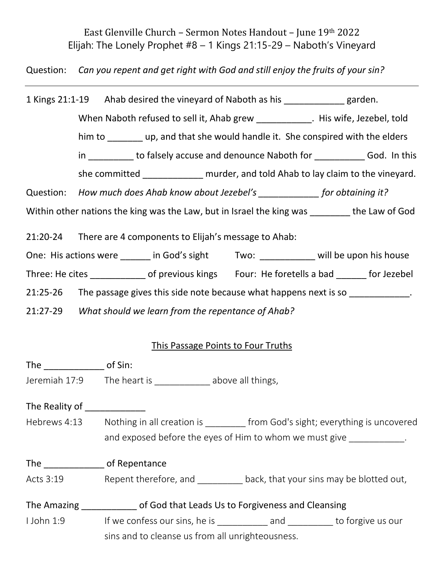East Glenville Church – Sermon Notes Handout – June 19th 2022 Elijah: The Lonely Prophet #8 – 1 Kings 21:15-29 – Naboth's Vineyard

Question: *Can you repent and get right with God and still enjoy the fruits of your sin?*

1 Kings 21:1-19 Ahab desired the vineyard of Naboth as his garden. When Naboth refused to sell it, Ahab grew \_\_\_\_\_\_\_\_\_\_\_\_. His wife, Jezebel, told him to **up, and that she would handle it.** She conspired with the elders in \_\_\_\_\_\_\_\_\_ to falsely accuse and denounce Naboth for \_\_\_\_\_\_\_\_\_\_\_\_ God. In this she committed murder, and told Ahab to lay claim to the vineyard. Question: *How much does Ahab know about Jezebel's \_\_\_\_\_\_\_\_\_\_\_\_ for obtaining it?*

Within other nations the king was the Law, but in Israel the king was the Law of God

21:20-24 There are 4 components to Elijah's message to Ahab:

One: His actions were \_\_\_\_\_\_ in God's sight Two: \_\_\_\_\_\_\_\_\_ will be upon his house

Three: He cites of previous kings Four: He foretells a bad for Jezebel

21:25-26 The passage gives this side note because what happens next is so  $\blacksquare$ 

21:27-29 *What should we learn from the repentance of Ahab?*

## This Passage Points to Four Truths

| The of Sin:    |                                                                                 |
|----------------|---------------------------------------------------------------------------------|
| Jeremiah 17:9  | The heart is example above all things,                                          |
| The Reality of |                                                                                 |
| Hebrews 4:13   | Nothing in all creation is __________ from God's sight; everything is uncovered |
|                | and exposed before the eyes of Him to whom we must give                         |
|                | of Repentance                                                                   |
| Acts 3:19      | Repent therefore, and back, that your sins may be blotted out,                  |
|                | The Amazing The Amazing of God that Leads Us to Forgiveness and Cleansing       |
| I John 1:9     | If we confess our sins, he is example and to forgive us our                     |
|                | sins and to cleanse us from all unrighteousness.                                |